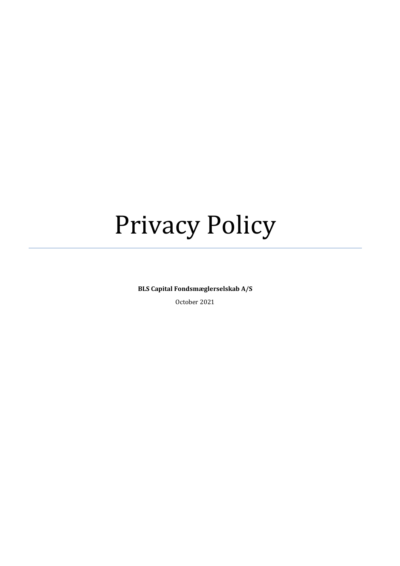# Privacy Policy

**BLS Capital Fondsmæglerselskab A/S**

October 2021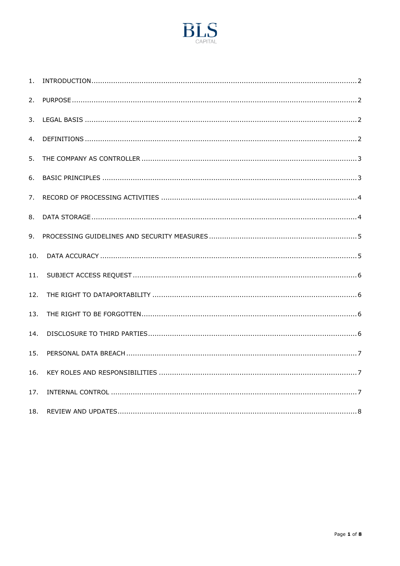

| 1.  |  |
|-----|--|
| 2.  |  |
| 3.  |  |
| 4.  |  |
| 5.  |  |
| 6.  |  |
| 7.  |  |
| 8.  |  |
| 9.  |  |
| 10. |  |
| 11. |  |
| 12. |  |
| 13. |  |
| 14. |  |
| 15. |  |
| 16. |  |
| 17. |  |
| 18. |  |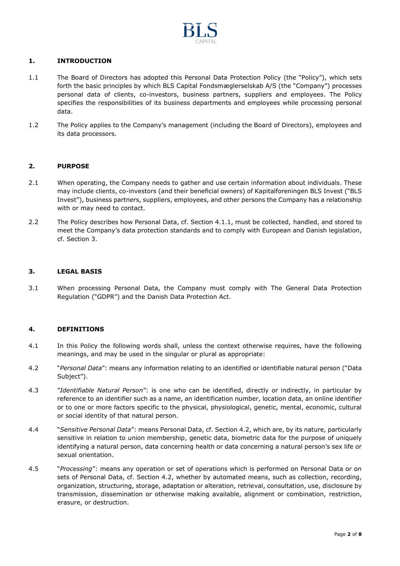

## <span id="page-2-0"></span>**1. INTRODUCTION**

- 1.1 The Board of Directors has adopted this Personal Data Protection Policy (the "Policy"), which sets forth the basic principles by which BLS Capital Fondsmæglerselskab A/S (the "Company") processes personal data of clients, co-investors, business partners, suppliers and employees. The Policy specifies the responsibilities of its business departments and employees while processing personal data.
- 1.2 The Policy applies to the Company's management (including the Board of Directors), employees and its data processors.

#### <span id="page-2-1"></span>**2. PURPOSE**

- 2.1 When operating, the Company needs to gather and use certain information about individuals. These may include clients, co-investors (and their beneficial owners) of Kapitalforeningen BLS Invest ("BLS Invest"), business partners, suppliers, employees, and other persons the Company has a relationship with or may need to contact.
- 2.2 The Policy describes how Personal Data, cf. Section 4.1.1, must be collected, handled, and stored to meet the Company's data protection standards and to comply with European and Danish legislation, cf. Section 3.

#### <span id="page-2-2"></span>**3. LEGAL BASIS**

3.1 When processing Personal Data, the Company must comply with The General Data Protection Regulation ("GDPR") and the Danish Data Protection Act.

### <span id="page-2-3"></span>**4. DEFINITIONS**

- 4.1 In this Policy the following words shall, unless the context otherwise requires, have the following meanings, and may be used in the singular or plural as appropriate:
- 4.2 "*Personal Data*": means any information relating to an identified or identifiable natural person ("Data Subject").
- 4.3 "*Identifiable Natural Person*": is one who can be identified, directly or indirectly, in particular by reference to an identifier such as a name, an identification number, location data, an online identifier or to one or more factors specific to the physical, physiological, genetic, mental, economic, cultural or social identity of that natural person.
- 4.4 "*Sensitive Personal Data*": means Personal Data, cf. Section 4.2, which are, by its nature, particularly sensitive in relation to union membership, genetic data, biometric data for the purpose of uniquely identifying a natural person, data concerning health or data concerning a natural person's sex life or sexual orientation.
- 4.5 "*Processing*": means any operation or set of operations which is performed on Personal Data or on sets of Personal Data, cf. Section 4.2, whether by automated means, such as collection, recording, organization, structuring, storage, adaptation or alteration, retrieval, consultation, use, disclosure by transmission, dissemination or otherwise making available, alignment or combination, restriction, erasure, or destruction.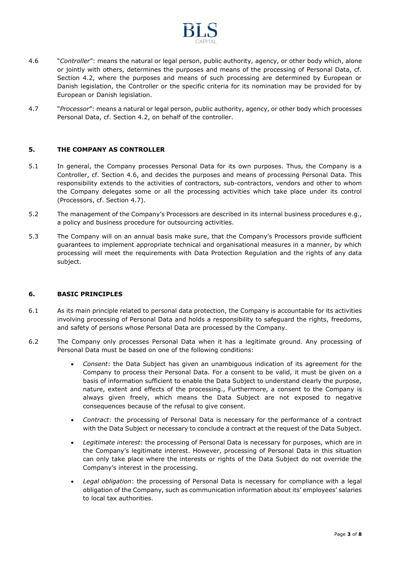

- 4.6 "*Controller*": means the natural or legal person, public authority, agency, or other body which, alone or jointly with others, determines the purposes and means of the processing of Personal Data, cf. Section 4.2, where the purposes and means of such processing are determined by European or Danish legislation, the Controller or the specific criteria for its nomination may be provided for by European or Danish legislation.
- 4.7 "*Processor*": means a natural or legal person, public authority, agency, or other body which processes Personal Data, cf. Section 4.2, on behalf of the controller.

## <span id="page-3-0"></span>**5. THE COMPANY AS CONTROLLER**

- 5.1 In general, the Company processes Personal Data for its own purposes. Thus, the Company is a Controller, cf. Section 4.6, and decides the purposes and means of processing Personal Data. This responsibility extends to the activities of contractors, sub-contractors, vendors and other to whom the Company delegates some or all the processing activities which take place under its control (Processors, cf. Section 4.7).
- 5.2 The management of the Company's Processors are described in its internal business procedures e.g., a policy and business procedure for outsourcing activities.
- 5.3 The Company will on an annual basis make sure, that the Company's Processors provide sufficient guarantees to implement appropriate technical and organisational measures in a manner, by which processing will meet the requirements with Data Protection Regulation and the rights of any data subject.

#### <span id="page-3-1"></span>**6. BASIC PRINCIPLES**

- 6.1 As its main principle related to personal data protection, the Company is accountable for its activities involving processing of Personal Data and holds a responsibility to safeguard the rights, freedoms, and safety of persons whose Personal Data are processed by the Company.
- 6.2 The Company only processes Personal Data when it has a legitimate ground. Any processing of Personal Data must be based on one of the following conditions:
	- *Consent*: the Data Subject has given an unambiguous indication of its agreement for the Company to process their Personal Data. For a consent to be valid, it must be given on a basis of information sufficient to enable the Data Subject to understand clearly the purpose, nature, extent and effects of the processing., Furthermore, a consent to the Company is always given freely, which means the Data Subject are not exposed to negative consequences because of the refusal to give consent.
	- *Contract*: the processing of Personal Data is necessary for the performance of a contract with the Data Subject or necessary to conclude a contract at the request of the Data Subject.
	- *Legitimate interest*: the processing of Personal Data is necessary for purposes, which are in the Company's legitimate interest. However, processing of Personal Data in this situation can only take place where the interests or rights of the Data Subject do not override the Company's interest in the processing.
	- *Legal obligation*: the processing of Personal Data is necessary for compliance with a legal obligation of the Company, such as communication information about its' employees' salaries to local tax authorities.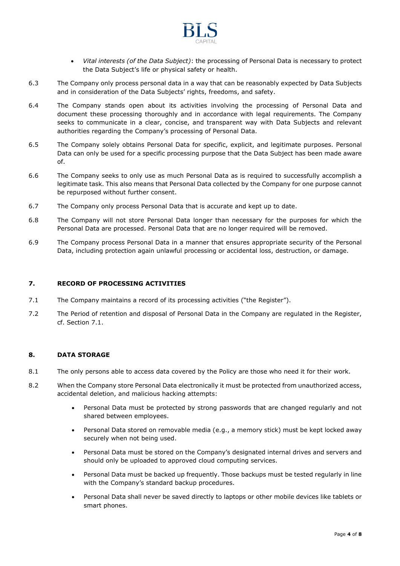

- *Vital interests (of the Data Subject)*: the processing of Personal Data is necessary to protect the Data Subject's life or physical safety or health.
- 6.3 The Company only process personal data in a way that can be reasonably expected by Data Subjects and in consideration of the Data Subjects' rights, freedoms, and safety.
- 6.4 The Company stands open about its activities involving the processing of Personal Data and document these processing thoroughly and in accordance with legal requirements. The Company seeks to communicate in a clear, concise, and transparent way with Data Subjects and relevant authorities regarding the Company's processing of Personal Data.
- 6.5 The Company solely obtains Personal Data for specific, explicit, and legitimate purposes. Personal Data can only be used for a specific processing purpose that the Data Subject has been made aware of.
- 6.6 The Company seeks to only use as much Personal Data as is required to successfully accomplish a legitimate task. This also means that Personal Data collected by the Company for one purpose cannot be repurposed without further consent.
- 6.7 The Company only process Personal Data that is accurate and kept up to date.
- 6.8 The Company will not store Personal Data longer than necessary for the purposes for which the Personal Data are processed. Personal Data that are no longer required will be removed.
- 6.9 The Company process Personal Data in a manner that ensures appropriate security of the Personal Data, including protection again unlawful processing or accidental loss, destruction, or damage.

## <span id="page-4-0"></span>**7. RECORD OF PROCESSING ACTIVITIES**

- 7.1 The Company maintains a record of its processing activities ("the Register").
- 7.2 The Period of retention and disposal of Personal Data in the Company are regulated in the Register, cf. Section 7.1.

### <span id="page-4-1"></span>**8. DATA STORAGE**

- 8.1 The only persons able to access data covered by the Policy are those who need it for their work.
- 8.2 When the Company store Personal Data electronically it must be protected from unauthorized access, accidental deletion, and malicious hacking attempts:
	- Personal Data must be protected by strong passwords that are changed regularly and not shared between employees.
	- Personal Data stored on removable media (e.g., a memory stick) must be kept locked away securely when not being used.
	- Personal Data must be stored on the Company's designated internal drives and servers and should only be uploaded to approved cloud computing services.
	- Personal Data must be backed up frequently. Those backups must be tested regularly in line with the Company's standard backup procedures.
	- Personal Data shall never be saved directly to laptops or other mobile devices like tablets or smart phones.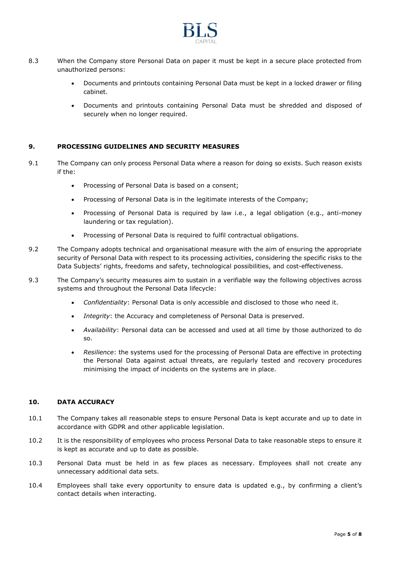

- 8.3 When the Company store Personal Data on paper it must be kept in a secure place protected from unauthorized persons:
	- Documents and printouts containing Personal Data must be kept in a locked drawer or filing cabinet.
	- Documents and printouts containing Personal Data must be shredded and disposed of securely when no longer required.

## <span id="page-5-0"></span>**9. PROCESSING GUIDELINES AND SECURITY MEASURES**

- 9.1 The Company can only process Personal Data where a reason for doing so exists. Such reason exists if the:
	- Processing of Personal Data is based on a consent;
	- Processing of Personal Data is in the legitimate interests of the Company;
	- Processing of Personal Data is required by law i.e., a legal obligation (e.g., anti-money laundering or tax regulation).
	- Processing of Personal Data is required to fulfil contractual obligations.
- 9.2 The Company adopts technical and organisational measure with the aim of ensuring the appropriate security of Personal Data with respect to its processing activities, considering the specific risks to the Data Subjects' rights, freedoms and safety, technological possibilities, and cost-effectiveness.
- 9.3 The Company's security measures aim to sustain in a verifiable way the following objectives across systems and throughout the Personal Data lifecycle:
	- *Confidentiality*: Personal Data is only accessible and disclosed to those who need it.
	- *Integrity*: the Accuracy and completeness of Personal Data is preserved.
	- *Availability*: Personal data can be accessed and used at all time by those authorized to do so.
	- *Resilience*: the systems used for the processing of Personal Data are effective in protecting the Personal Data against actual threats, are regularly tested and recovery procedures minimising the impact of incidents on the systems are in place.

### <span id="page-5-1"></span>**10. DATA ACCURACY**

- 10.1 The Company takes all reasonable steps to ensure Personal Data is kept accurate and up to date in accordance with GDPR and other applicable legislation.
- 10.2 It is the responsibility of employees who process Personal Data to take reasonable steps to ensure it is kept as accurate and up to date as possible.
- 10.3 Personal Data must be held in as few places as necessary. Employees shall not create any unnecessary additional data sets.
- 10.4 Employees shall take every opportunity to ensure data is updated e.g., by confirming a client's contact details when interacting.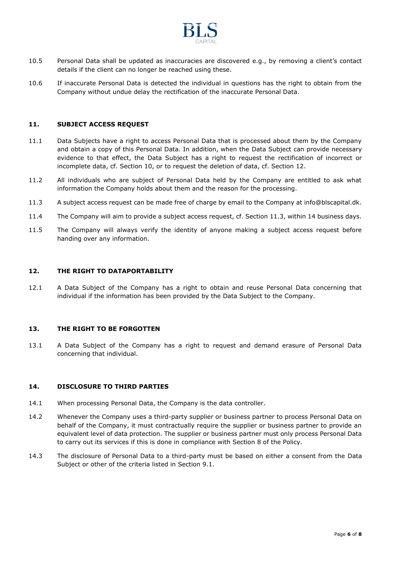

- 10.5 Personal Data shall be updated as inaccuracies are discovered e.g., by removing a client's contact details if the client can no longer be reached using these.
- 10.6 If inaccurate Personal Data is detected the individual in questions has the right to obtain from the Company without undue delay the rectification of the inaccurate Personal Data.

#### <span id="page-6-0"></span>**11. SUBJECT ACCESS REQUEST**

- 11.1 Data Subjects have a right to access Personal Data that is processed about them by the Company and obtain a copy of this Personal Data. In addition, when the Data Subject can provide necessary evidence to that effect, the Data Subject has a right to request the rectification of incorrect or incomplete data, cf. Section 10, or to request the deletion of data, cf. Section 12.
- 11.2 All individuals who are subject of Personal Data held by the Company are entitled to ask what information the Company holds about them and the reason for the processing.
- 11.3 A subject access request can be made free of charge by email to the Company at info@blscapital.dk.
- 11.4 The Company will aim to provide a subject access request, cf. Section 11.3, within 14 business days.
- 11.5 The Company will always verify the identity of anyone making a subject access request before handing over any information.

#### <span id="page-6-1"></span>**12. THE RIGHT TO DATAPORTABILITY**

12.1 A Data Subject of the Company has a right to obtain and reuse Personal Data concerning that individual if the information has been provided by the Data Subject to the Company.

## <span id="page-6-2"></span>**13. THE RIGHT TO BE FORGOTTEN**

13.1 A Data Subject of the Company has a right to request and demand erasure of Personal Data concerning that individual.

#### <span id="page-6-3"></span>**14. DISCLOSURE TO THIRD PARTIES**

- 14.1 When processing Personal Data, the Company is the data controller.
- 14.2 Whenever the Company uses a third-party supplier or business partner to process Personal Data on behalf of the Company, it must contractually require the supplier or business partner to provide an equivalent level of data protection. The supplier or business partner must only process Personal Data to carry out its services if this is done in compliance with Section 8 of the Policy.
- 14.3 The disclosure of Personal Data to a third-party must be based on either a consent from the Data Subject or other of the criteria listed in Section 9.1.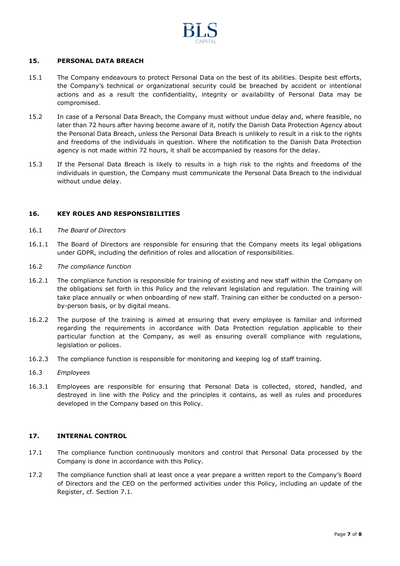

### <span id="page-7-0"></span>**15. PERSONAL DATA BREACH**

- 15.1 The Company endeavours to protect Personal Data on the best of its abilities. Despite best efforts, the Company's technical or organizational security could be breached by accident or intentional actions and as a result the confidentiality, integrity or availability of Personal Data may be compromised.
- 15.2 In case of a Personal Data Breach, the Company must without undue delay and, where feasible, no later than 72 hours after having become aware of it, notify the Danish Data Protection Agency about the Personal Data Breach, unless the Personal Data Breach is unlikely to result in a risk to the rights and freedoms of the individuals in question. Where the notification to the Danish Data Protection agency is not made within 72 hours, it shall be accompanied by reasons for the delay.
- 15.3 If the Personal Data Breach is likely to results in a high risk to the rights and freedoms of the individuals in question, the Company must communicate the Personal Data Breach to the individual without undue delay.

### <span id="page-7-1"></span>**16. KEY ROLES AND RESPONSIBILITIES**

- 16.1 *The Board of Directors*
- 16.1.1 The Board of Directors are responsible for ensuring that the Company meets its legal obligations under GDPR, including the definition of roles and allocation of responsibilities.
- 16.2 *The compliance function*
- 16.2.1 The compliance function is responsible for training of existing and new staff within the Company on the obligations set forth in this Policy and the relevant legislation and regulation. The training will take place annually or when onboarding of new staff. Training can either be conducted on a personby-person basis, or by digital means.
- 16.2.2 The purpose of the training is aimed at ensuring that every employee is familiar and informed regarding the requirements in accordance with Data Protection regulation applicable to their particular function at the Company, as well as ensuring overall compliance with regulations, legislation or polices.
- 16.2.3 The compliance function is responsible for monitoring and keeping log of staff training.
- 16.3 *Employees*
- 16.3.1 Employees are responsible for ensuring that Personal Data is collected, stored, handled, and destroyed in line with the Policy and the principles it contains, as well as rules and procedures developed in the Company based on this Policy.

### <span id="page-7-2"></span>**17. INTERNAL CONTROL**

- 17.1 The compliance function continuously monitors and control that Personal Data processed by the Company is done in accordance with this Policy.
- 17.2 The compliance function shall at least once a year prepare a written report to the Company's Board of Directors and the CEO on the performed activities under this Policy, including an update of the Register, cf. Section 7.1.